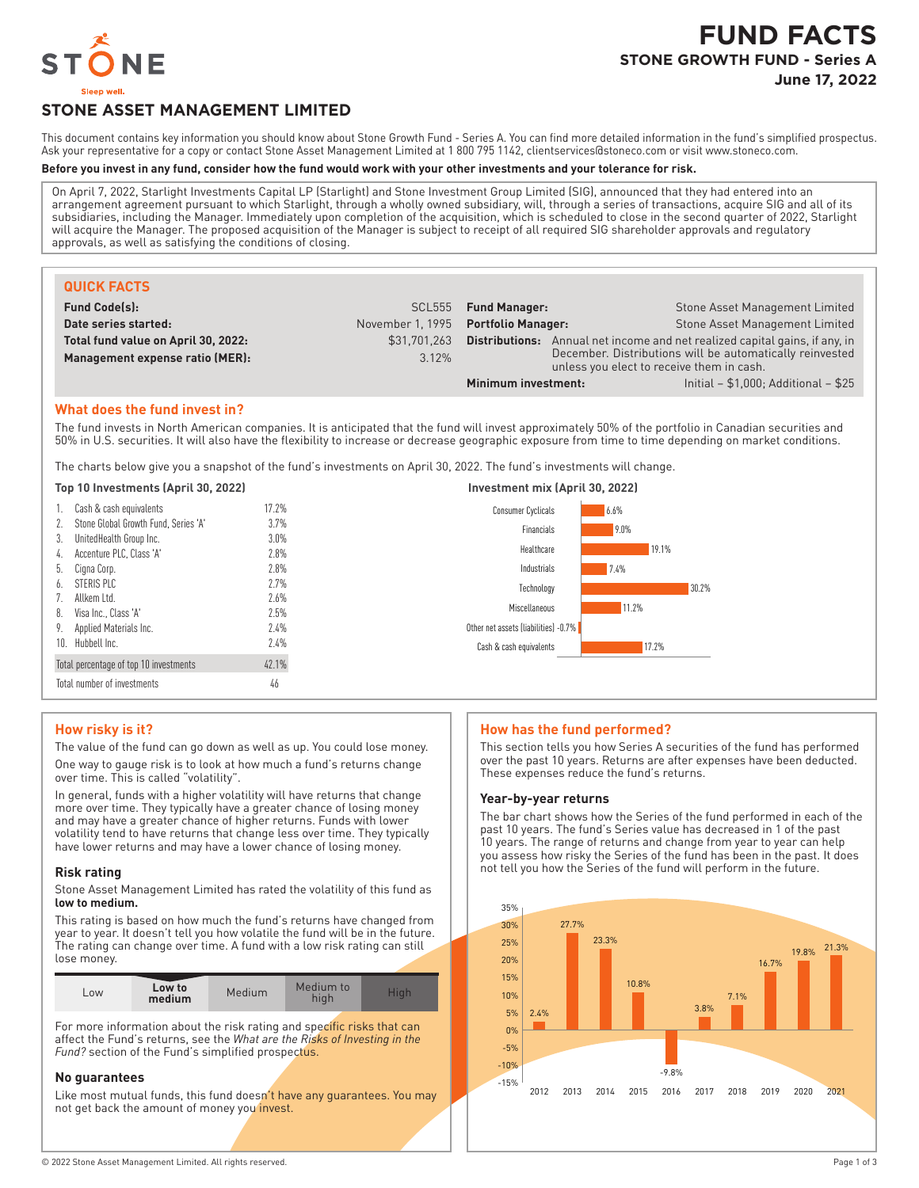

# **FUND FACTS STONE GROWTH FUND - Series A June 17, 2022**

# **STONE ASSET MANAGEMENT LIMITED**

This document contains key information you should know about Stone Growth Fund - Series A. You can find more detailed information in the fund's simplified prospectus. Ask your representative for a copy or contact Stone Asset Management Limited at 1800 795 1142, clientservices@stoneco.com or visit www.stoneco.com.

## **Before you invest in any fund, consider how the fund would work with your other investments and your tolerance for risk.**

On April 7, 2022, Starlight Investments Capital LP (Starlight) and Stone Investment Group Limited (SIG), announced that they had entered into an arrangement agreement pursuant to which Starlight, through a wholly owned subsidiary, will, through a series of transactions, acquire SIG and all of its subsidiaries, including the Manager. Immediately upon completion of the acquisition, which is scheduled to close in the second quarter of 2022, Starlight will acquire the Manager. The proposed acquisition of the Manager is subject to receipt of all required SIG shareholder approvals and regulatory approvals, as well as satisfying the conditions of closing.

| <b>QUICK FACTS</b>                  |                                     |                                                                                                       |  |                                                              |
|-------------------------------------|-------------------------------------|-------------------------------------------------------------------------------------------------------|--|--------------------------------------------------------------|
| <b>Fund Code(s):</b>                |                                     | SCL555 Fund Manager:                                                                                  |  | Stone Asset Management Limited                               |
| Date series started:                | November 1, 1995 Portfolio Manager: |                                                                                                       |  | Stone Asset Management Limited                               |
| Total fund value on April 30, 2022: | \$31,701,263                        | Distributions:                                                                                        |  | Annual net income and net realized capital gains, if any, in |
| Management expense ratio (MER):     | 3.12%                               | December. Distributions will be automatically reinvested<br>unless you elect to receive them in cash. |  |                                                              |
|                                     |                                     | Minimum investment:                                                                                   |  | Initial $- $1,000$ ; Additional $- $25$                      |

## **What does the fund invest in?**

The fund invests in North American companies. It is anticipated that the fund will invest approximately 50% of the portfolio in Canadian securities and 50% in U.S. securities. It will also have the flexibility to increase or decrease geographic exposure from time to time depending on market conditions.

The charts below give you a snapshot of the fund's investments on April 30, 2022. The fund's investments will change.

## **Top 10 Investments (April 30, 2022) Investment mix (April 30, 2022)**

|    | Cash & cash equivalents                 | 17.2%   | 6.6%<br><b>Consumer Cyclicals</b>    |
|----|-----------------------------------------|---------|--------------------------------------|
|    | 2. Stone Global Growth Fund, Series 'A' | 3.7%    | 9.0%<br>Financials                   |
| 3. | UnitedHealth Group Inc.                 | $3.0\%$ | 19.1%<br>Healthcare                  |
|    | 4. Accenture PLC, Class 'A'             | 2.8%    |                                      |
|    | 5. Cigna Corp.                          | 2.8%    | 7.4%<br>Industrials                  |
| b. | STERIS PLC                              | 2.7%    | Technology<br>30.2%                  |
|    | 7. Allkem Ltd.                          | 2.6%    |                                      |
|    | 8. Visa Inc., Class 'A'                 | 2.5%    | 11.2%<br>Miscellaneous               |
|    | 9. Applied Materials Inc.               | 2.4%    | Other net assets (liabilities) -0.7% |
|    | 10. Hubbell Inc.                        | 2.4%    | 17.2%<br>Cash & cash equivalents     |
|    | Total percentage of top 10 investments  | 42.1%   |                                      |
|    | Total number of investments             | 46      |                                      |

### **How risky is it?**

The value of the fund can go down as well as up. You could lose money. One way to gauge risk is to look at how much a fund's returns change over time. This is called "volatility".

In general, funds with a higher volatility will have returns that change more over time. They typically have a greater chance of losing money and may have a greater chance of higher returns. Funds with lower volatility tend to have returns that change less over time. They typically have lower returns and may have a lower chance of losing money.

### **Risk rating**

Stone Asset Management Limited has rated the volatility of this fund as **low to medium.**

This rating is based on how much the fund's returns have changed from year to year. It doesn't tell you how volatile the fund will be in the future. The rating can change over time. A fund with a low risk rating can still lose money.

| LOW | Low to<br>medium | Medium | Medium to | Hial |
|-----|------------------|--------|-----------|------|

For more information about the risk rating and specific risks that can affect the Fund's returns, see the *What are the Risks of Investing in the Fund?* section of the Fund's simplified prospectus.

### **No guarantees**

Like most mutual funds, this fund doesn't have any guarantees. You may not get back the amount of money you invest.

### **How has the fund performed?**

This section tells you how Series A securities of the fund has performed over the past 10 years. Returns are after expenses have been deducted. These expenses reduce the fund's returns.

#### **Year-by-year returns**

The bar chart shows how the Series of the fund performed in each of the past 10 years. The fund's Series value has decreased in 1 of the past 10 years. The range of returns and change from year to year can help you assess how risky the Series of the fund has been in the past. It does not tell you how the Series of the fund will perform in the future.

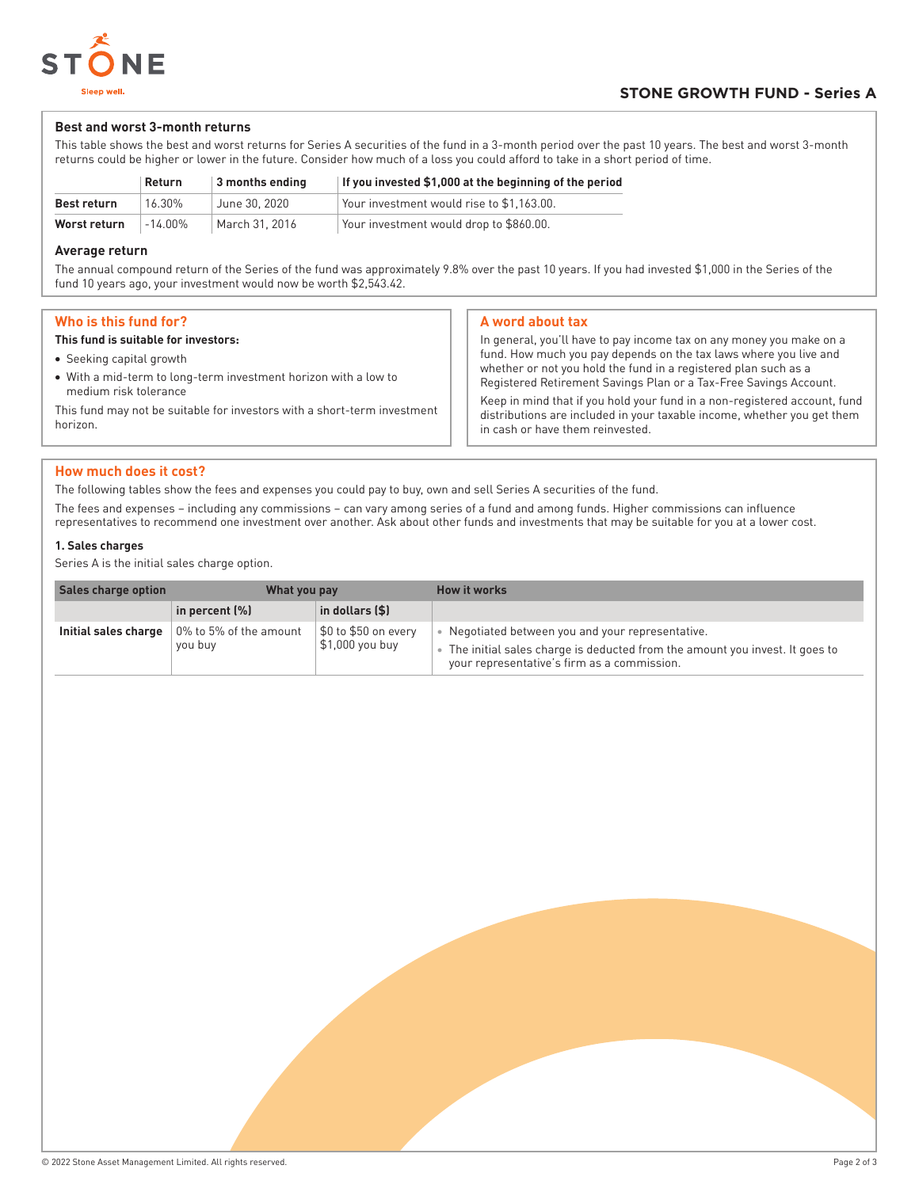

## **Best and worst 3-month returns**

This table shows the best and worst returns for Series A securities of the fund in a 3-month period over the past 10 years. The best and worst 3-month returns could be higher or lower in the future. Consider how much of a loss you could afford to take in a short period of time.

|                    | <b>Return</b> | $\vert$ 3 months ending | If you invested \$1,000 at the beginning of the period |
|--------------------|---------------|-------------------------|--------------------------------------------------------|
| <b>Best return</b> | 16.30%        | June 30, 2020           | Your investment would rise to \$1.163.00.              |
| Worst return       | -14.00%       | March 31, 2016          | Your investment would drop to \$860.00.                |

## **Average return**

The annual compound return of the Series of the fund was approximately 9.8% over the past 10 years. If you had invested \$1,000 in the Series of the fund 10 years ago, your investment would now be worth \$2,543.42.

| Who is this fund for?                                                                    | A word about tax                                                                                                                                                                                                                                                                                                                 |  |
|------------------------------------------------------------------------------------------|----------------------------------------------------------------------------------------------------------------------------------------------------------------------------------------------------------------------------------------------------------------------------------------------------------------------------------|--|
| This fund is suitable for investors:                                                     | In general, you'll have to pay income tax on any money you make on a                                                                                                                                                                                                                                                             |  |
| • Seeking capital growth                                                                 | fund. How much you pay depends on the tax laws where you live and                                                                                                                                                                                                                                                                |  |
| • With a mid-term to long-term investment horizon with a low to<br>medium risk tolerance | whether or not you hold the fund in a registered plan such as a<br>Registered Retirement Savings Plan or a Tax-Free Savings Account.<br>Keep in mind that if you hold your fund in a non-registered account, fund<br>distributions are included in your taxable income, whether you get them<br>in cash or have them reinvested. |  |
| This fund may not be suitable for investors with a short-term investment<br>horizon.     |                                                                                                                                                                                                                                                                                                                                  |  |
|                                                                                          |                                                                                                                                                                                                                                                                                                                                  |  |

## **How much does it cost?**

The following tables show the fees and expenses you could pay to buy, own and sell Series A securities of the fund.

The fees and expenses – including any commissions – can vary among series of a fund and among funds. Higher commissions can influence representatives to recommend one investment over another. Ask about other funds and investments that may be suitable for you at a lower cost.

## **1. Sales charges**

Series A is the initial sales charge option.

| Sales charge option<br>What you pay |                                    |                                         | How it works                                                                                                                                                                  |  |
|-------------------------------------|------------------------------------|-----------------------------------------|-------------------------------------------------------------------------------------------------------------------------------------------------------------------------------|--|
|                                     | in percent (%)                     | in dollars (\$)                         |                                                                                                                                                                               |  |
| Initial sales charge                | 10% to 5% of the amount<br>you buy | \$0 to \$50 on every<br>\$1,000 you buy | Negotiated between you and your representative.<br>The initial sales charge is deducted from the amount you invest. It goes to<br>your representative's firm as a commission. |  |